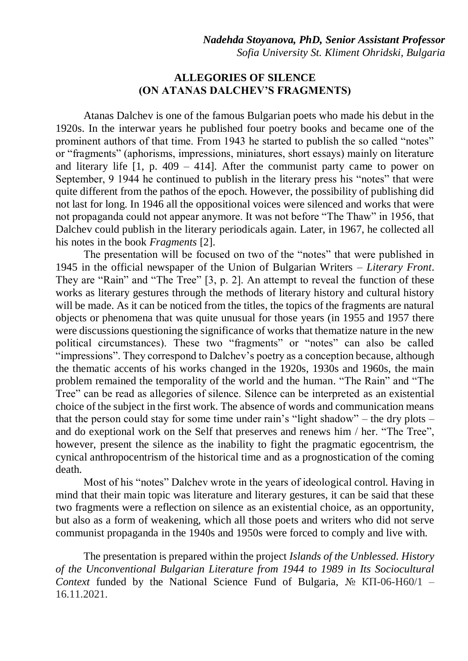## **ALLEGORIES OF SILENCE (ON ATANAS DALCHEV'S FRAGMENTS)**

Atanas Dalchev is one of the famous Bulgarian poets who made his debut in the 1920s. In the interwar years he published four poetry books and became one of the prominent authors of that time. From 1943 he started to publish the so called "notes" or "fragments" (aphorisms, impressions, miniatures, short essays) mainly on literature and literary life  $[1, p. 409 - 414]$ . After the communist party came to power on September, 9 1944 he continued to publish in the literary press his "notes" that were quite different from the pathos of the epoch. However, the possibility of publishing did not last for long. In 1946 all the oppositional voices were silenced and works that were not propaganda could not appear anymore. It was not before "The Thaw" in 1956, that Dalchev could publish in the literary periodicals again. Later, in 1967, he collected all his notes in the book *Fragments* [2].

The presentation will be focused on two of the "notes" that were published in 1945 in the official newspaper of the Union of Bulgarian Writers – *Literary Front*. They are "Rain" and "The Tree" [3, p. 2]. An attempt to reveal the function of these works as literary gestures through the methods of literary history and cultural history will be made. As it can be noticed from the titles, the topics of the fragments are natural objects or phenomena that was quite unusual for those years (in 1955 and 1957 there were discussions questioning the significance of works that thematize nature in the new political circumstances). These two "fragments" or "notes" can also be called "impressions". They correspond to Dalchev's poetry as a conception because, although the thematic accents of his works changed in the 1920s, 1930s and 1960s, the main problem remained the temporality of the world and the human. "The Rain" and "The Tree" can be read as allegories of silence. Silence can be interpreted as an existential choice of the subject in the first work. The absence of words and communication means that the person could stay for some time under rain's "light shadow" – the dry plots – and do exeptional work on the Self that preserves and renews him / her. "The Tree", however, present the silence as the inability to fight the pragmatic egocentrism, the cynical anthropocentrism of the historical time and as a prognostication of the coming death.

Most of his "notes" Dalchev wrote in the years of ideological control. Having in mind that their main topic was literature and literary gestures, it can be said that these two fragments were a reflection on silence as an existential choice, as an opportunity, but also as a form of weakening, which all those poets and writers who did not serve communist propaganda in the 1940s and 1950s were forced to comply and live with.

The presentation is prepared within the project *Islands of the Unblessed. History of the Unconventional Bulgarian Literature from 1944 to 1989 in Its Sociocultural Context* funded by the National Science Fund of Bulgaria,  $N_2$  KII-06-H60/1 – 16.11.2021.